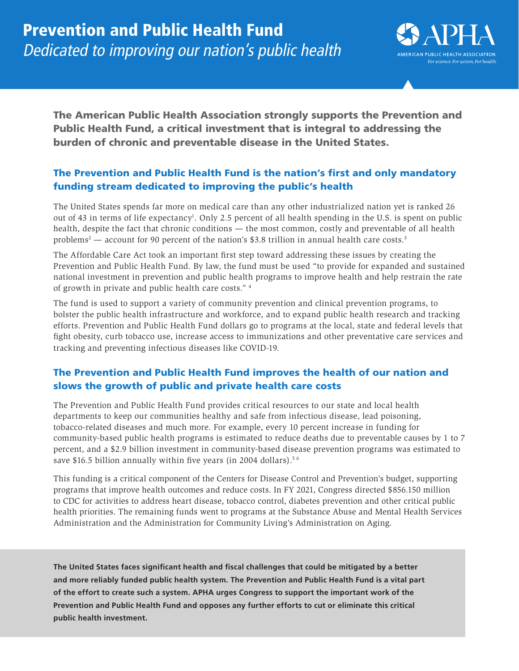

The American Public Health Association strongly supports the Prevention and Public Health Fund, a critical investment that is integral to addressing the burden of chronic and preventable disease in the United States.

# The Prevention and Public Health Fund is the nation's first and only mandatory funding stream dedicated to improving the public's health

The United States spends far more on medical care than any other industrialized nation yet is ranked 26 out of 43 in terms of life expectancy<sup>1</sup>. Only 2.5 percent of all health spending in the U.S. is spent on public health, despite the fact that chronic conditions — the most common, costly and preventable of all health problems<sup>2</sup> — account for 90 percent of the nation's \$3.8 trillion in annual health care costs.<sup>3</sup>

The Affordable Care Act took an important first step toward addressing these issues by creating the Prevention and Public Health Fund. By law, the fund must be used "to provide for expanded and sustained national investment in prevention and public health programs to improve health and help restrain the rate of growth in private and public health care costs." 4

The fund is used to support a variety of community prevention and clinical prevention programs, to bolster the public health infrastructure and workforce, and to expand public health research and tracking efforts. Prevention and Public Health Fund dollars go to programs at the local, state and federal levels that fight obesity, curb tobacco use, increase access to immunizations and other preventative care services and tracking and preventing infectious diseases like COVID-19.

# The Prevention and Public Health Fund improves the health of our nation and slows the growth of public and private health care costs

The Prevention and Public Health Fund provides critical resources to our state and local health departments to keep our communities healthy and safe from infectious disease, lead poisoning, tobacco-related diseases and much more. For example, every 10 percent increase in funding for community-based public health programs is estimated to reduce deaths due to preventable causes by 1 to 7 percent, and a \$2.9 billion investment in community-based disease prevention programs was estimated to save \$16.5 billion annually within five years (in 2004 dollars).<sup>56</sup>

This funding is a critical component of the Centers for Disease Control and Prevention's budget, supporting programs that improve health outcomes and reduce costs. In FY 2021, Congress directed \$856.150 million to CDC for activities to address heart disease, tobacco control, diabetes prevention and other critical public health priorities. The remaining funds went to programs at the Substance Abuse and Mental Health Services Administration and the Administration for Community Living's Administration on Aging.

**The United States faces significant health and fiscal challenges that could be mitigated by a better and more reliably funded public health system. The Prevention and Public Health Fund is a vital part of the effort to create such a system. APHA urges Congress to support the important work of the Prevention and Public Health Fund and opposes any further efforts to cut or eliminate this critical public health investment.**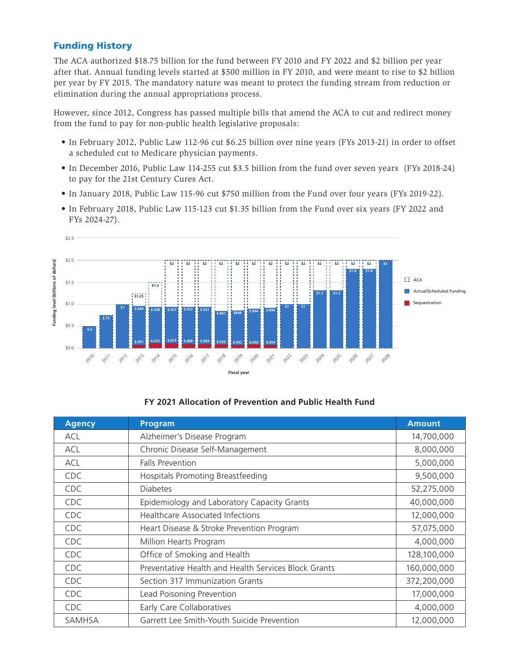## Funding History

The ACA authorized \$18.75 billion for the fund between FY 2010 and FY 2022 and \$2 billion per year after that. Annual funding levels started at \$500 million in FY 2010, and were meant to rise to \$2 billion per year by FY 2015. The mandatory nature was meant to protect the funding stream from reduction or elimination during the annual appropriations process.

However, since 2012, Congress has passed multiple bills that amend the ACA to cut and redirect money from the fund to pay for non-public health legislative proposals:

- In February 2012, Public Law 112-96 cut \$6.25 billion over nine years (FYs 2013-21) in order to offset a scheduled cut to Medicare physician payments.
- In December 2016, Public Law 114-255 cut \$3.5 billion from the fund over seven years (FYs 2018-24) to pay for the 21st Century Cures Act.
- In January 2018, Public Law 115-96 cut \$750 million from the Fund over four years (FYs 2019-22).
- In February 2018, Public Law 115-123 cut \$1.35 billion from the Fund over six years (FY 2022 and FYs 2024-27).



### **FY 2021 Allocation of Prevention and Public Health Fund**

| <b>Agency</b> | <b>Program</b>                                       | <b>Amount</b> |
|---------------|------------------------------------------------------|---------------|
| ACL           | Alzheimer's Disease Program                          | 14,700,000    |
| ACL           | Chronic Disease Self-Management                      | 8,000,000     |
| <b>ACL</b>    | <b>Falls Prevention</b>                              | 5,000,000     |
| <b>CDC</b>    | Hospitals Promoting Breastfeeding                    | 9,500,000     |
| CDC.          | <b>Diabetes</b>                                      | 52,275,000    |
| <b>CDC</b>    | Epidemiology and Laboratory Capacity Grants          | 40,000,000    |
| <b>CDC</b>    | <b>Healthcare Associated Infections</b>              | 12,000,000    |
| CDC.          | Heart Disease & Stroke Prevention Program            | 57,075,000    |
| <b>CDC</b>    | Million Hearts Program                               | 4,000,000     |
| <b>CDC</b>    | Office of Smoking and Health                         | 128,100,000   |
| CDC.          | Preventative Health and Health Services Block Grants | 160,000,000   |
| <b>CDC</b>    | Section 317 Immunization Grants                      | 372,200,000   |
| <b>CDC</b>    | Lead Poisoning Prevention                            | 17,000,000    |
| <b>CDC</b>    | Early Care Collaboratives                            | 4,000,000     |
| <b>SAMHSA</b> | Garrett Lee Smith-Youth Suicide Prevention           | 12,000,000    |